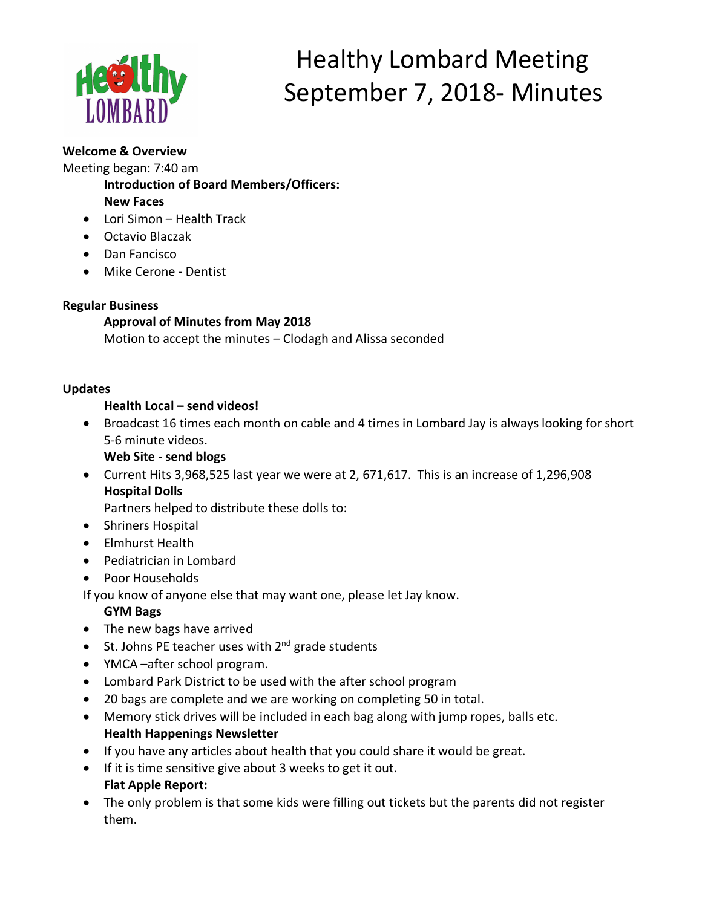

# Healthy Lombard Meeting September 7, 2018- Minutes

## **Welcome & Overview**

Meeting began: 7:40 am

**Introduction of Board Members/Officers:** 

**New Faces**

- Lori Simon Health Track
- Octavio Blaczak
- Dan Fancisco
- Mike Cerone Dentist

## **Regular Business**

# **Approval of Minutes from May 2018**

Motion to accept the minutes – Clodagh and Alissa seconded

# **Updates**

## **Health Local – send videos!**

• Broadcast 16 times each month on cable and 4 times in Lombard Jay is always looking for short 5-6 minute videos.

**Web Site - send blogs**

• Current Hits 3,968,525 last year we were at 2, 671,617. This is an increase of 1,296,908 **Hospital Dolls**

Partners helped to distribute these dolls to:

- Shriners Hospital
- Elmhurst Health
- Pediatrician in Lombard
- Poor Households

If you know of anyone else that may want one, please let Jay know.

## **GYM Bags**

- The new bags have arrived
- St. Johns PE teacher uses with  $2^{nd}$  grade students
- YMCA –after school program.
- Lombard Park District to be used with the after school program
- 20 bags are complete and we are working on completing 50 in total.
- Memory stick drives will be included in each bag along with jump ropes, balls etc. **Health Happenings Newsletter**
- If you have any articles about health that you could share it would be great.
- If it is time sensitive give about 3 weeks to get it out. **Flat Apple Report:**
- The only problem is that some kids were filling out tickets but the parents did not register them.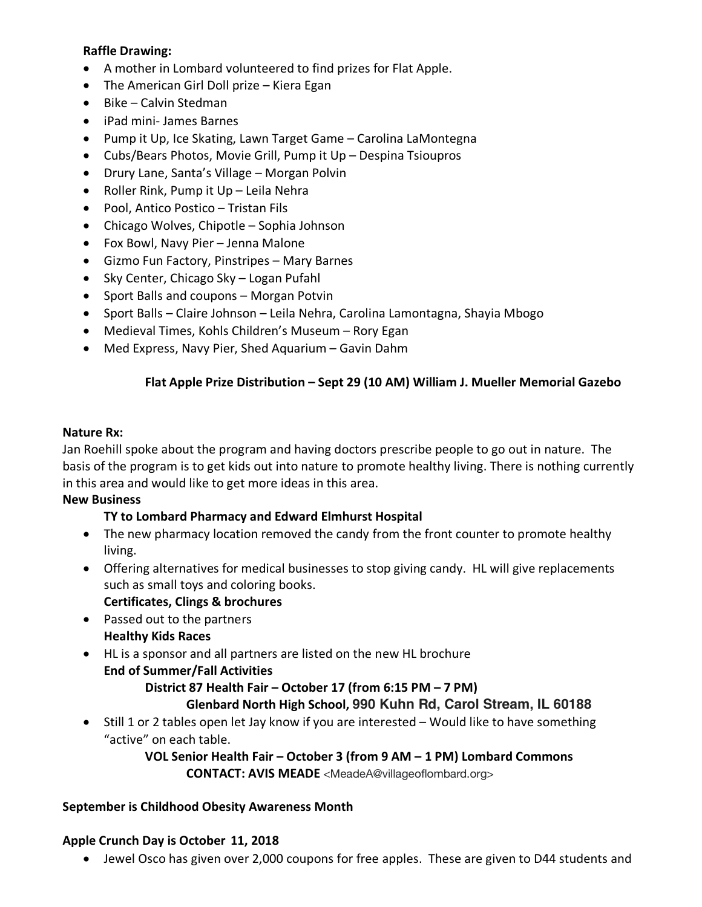#### **Raffle Drawing:**

- A mother in Lombard volunteered to find prizes for Flat Apple.
- The American Girl Doll prize Kiera Egan
- Bike Calvin Stedman
- iPad mini- James Barnes
- Pump it Up, Ice Skating, Lawn Target Game Carolina LaMontegna
- Cubs/Bears Photos, Movie Grill, Pump it Up Despina Tsioupros
- Drury Lane, Santa's Village Morgan Polvin
- Roller Rink, Pump it Up Leila Nehra
- Pool, Antico Postico Tristan Fils
- Chicago Wolves, Chipotle Sophia Johnson
- Fox Bowl, Navy Pier Jenna Malone
- Gizmo Fun Factory, Pinstripes Mary Barnes
- Sky Center, Chicago Sky Logan Pufahl
- Sport Balls and coupons Morgan Potvin
- Sport Balls Claire Johnson Leila Nehra, Carolina Lamontagna, Shayia Mbogo
- Medieval Times, Kohls Children's Museum Rory Egan
- Med Express, Navy Pier, Shed Aquarium Gavin Dahm

## **Flat Apple Prize Distribution – Sept 29 (10 AM) William J. Mueller Memorial Gazebo**

#### **Nature Rx:**

Jan Roehill spoke about the program and having doctors prescribe people to go out in nature. The basis of the program is to get kids out into nature to promote healthy living. There is nothing currently in this area and would like to get more ideas in this area.

#### **New Business**

#### **TY to Lombard Pharmacy and Edward Elmhurst Hospital**

- The new pharmacy location removed the candy from the front counter to promote healthy living.
- Offering alternatives for medical businesses to stop giving candy. HL will give replacements such as small toys and coloring books.
	- **Certificates, Clings & brochures**
- Passed out to the partners **Healthy Kids Races**
- HL is a sponsor and all partners are listed on the new HL brochure **End of Summer/Fall Activities**

#### **District 87 Health Fair – October 17 (from 6:15 PM – 7 PM)**

## **Glenbard North High School, 990 Kuhn Rd, Carol Stream, IL 60188**

• Still 1 or 2 tables open let Jay know if you are interested – Would like to have something "active" on each table.

> **VOL Senior Health Fair – October 3 (from 9 AM – 1 PM) Lombard Commons CONTACT: AVIS MEADE** <MeadeA@villageoflombard.org>

#### **September is Childhood Obesity Awareness Month**

#### **Apple Crunch Day is October 11, 2018**

• Jewel Osco has given over 2,000 coupons for free apples. These are given to D44 students and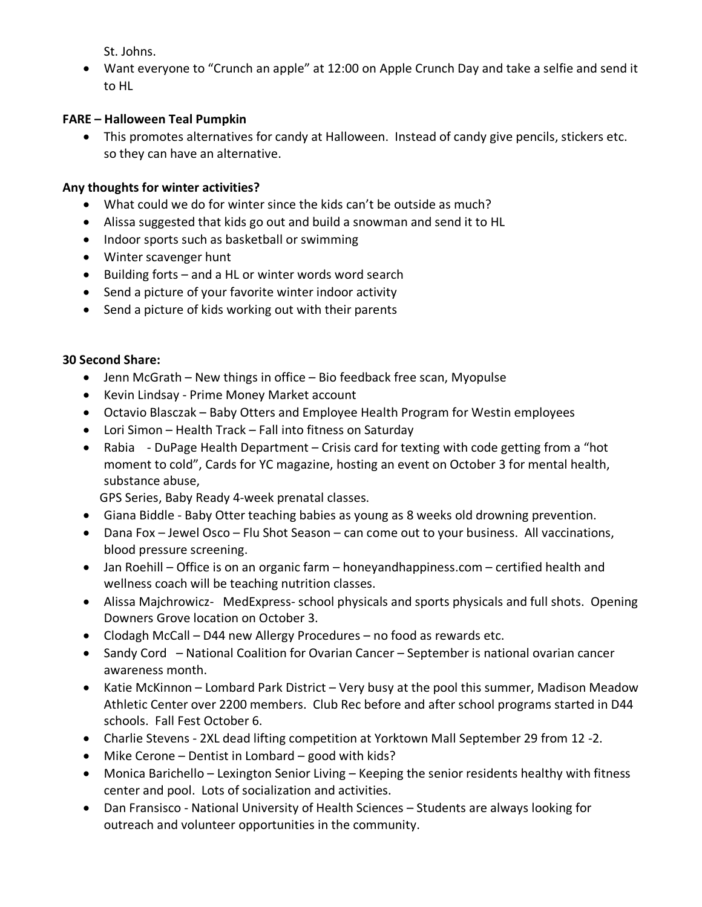St. Johns.

• Want everyone to "Crunch an apple" at 12:00 on Apple Crunch Day and take a selfie and send it to HL

## **FARE – Halloween Teal Pumpkin**

• This promotes alternatives for candy at Halloween. Instead of candy give pencils, stickers etc. so they can have an alternative.

## **Any thoughts for winter activities?**

- What could we do for winter since the kids can't be outside as much?
- Alissa suggested that kids go out and build a snowman and send it to HL
- Indoor sports such as basketball or swimming
- Winter scavenger hunt
- Building forts and a HL or winter words word search
- Send a picture of your favorite winter indoor activity
- Send a picture of kids working out with their parents

#### **30 Second Share:**

- Jenn McGrath New things in office Bio feedback free scan, Myopulse
- Kevin Lindsay Prime Money Market account
- Octavio Blasczak Baby Otters and Employee Health Program for Westin employees
- Lori Simon Health Track Fall into fitness on Saturday
- Rabia DuPage Health Department Crisis card for texting with code getting from a "hot moment to cold", Cards for YC magazine, hosting an event on October 3 for mental health, substance abuse,

GPS Series, Baby Ready 4-week prenatal classes.

- Giana Biddle Baby Otter teaching babies as young as 8 weeks old drowning prevention.
- Dana Fox Jewel Osco Flu Shot Season can come out to your business. All vaccinations, blood pressure screening.
- Jan Roehill Office is on an organic farm honeyandhappiness.com certified health and wellness coach will be teaching nutrition classes.
- Alissa Majchrowicz- MedExpress- school physicals and sports physicals and full shots. Opening Downers Grove location on October 3.
- Clodagh McCall D44 new Allergy Procedures no food as rewards etc.
- Sandy Cord National Coalition for Ovarian Cancer September is national ovarian cancer awareness month.
- Katie McKinnon Lombard Park District Very busy at the pool this summer, Madison Meadow Athletic Center over 2200 members. Club Rec before and after school programs started in D44 schools. Fall Fest October 6.
- Charlie Stevens 2XL dead lifting competition at Yorktown Mall September 29 from 12 -2.
- Mike Cerone Dentist in Lombard good with kids?
- Monica Barichello Lexington Senior Living Keeping the senior residents healthy with fitness center and pool. Lots of socialization and activities.
- Dan Fransisco National University of Health Sciences Students are always looking for outreach and volunteer opportunities in the community.